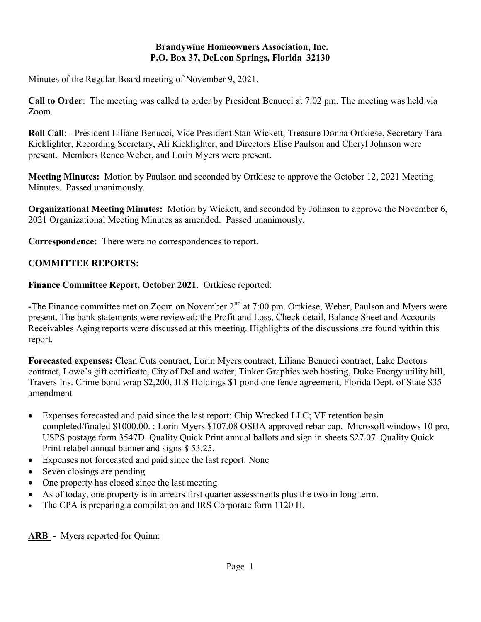#### Brandywine Homeowners Association, Inc. P.O. Box 37, DeLeon Springs, Florida 32130

Minutes of the Regular Board meeting of November 9, 2021.

Call to Order: The meeting was called to order by President Benucci at 7:02 pm. The meeting was held via Zoom.

Roll Call: - President Liliane Benucci, Vice President Stan Wickett, Treasure Donna Ortkiese, Secretary Tara Kicklighter, Recording Secretary, Ali Kicklighter, and Directors Elise Paulson and Cheryl Johnson were present. Members Renee Weber, and Lorin Myers were present.

Meeting Minutes: Motion by Paulson and seconded by Ortkiese to approve the October 12, 2021 Meeting Minutes. Passed unanimously.

Organizational Meeting Minutes: Motion by Wickett, and seconded by Johnson to approve the November 6, 2021 Organizational Meeting Minutes as amended. Passed unanimously.

Correspondence: There were no correspondences to report.

## COMMITTEE REPORTS:

Finance Committee Report, October 2021. Ortkiese reported:

-The Finance committee met on Zoom on November  $2<sup>nd</sup>$  at 7:00 pm. Ortkiese, Weber, Paulson and Myers were present. The bank statements were reviewed; the Profit and Loss, Check detail, Balance Sheet and Accounts Receivables Aging reports were discussed at this meeting. Highlights of the discussions are found within this report.

Forecasted expenses: Clean Cuts contract, Lorin Myers contract, Liliane Benucci contract, Lake Doctors contract, Lowe's gift certificate, City of DeLand water, Tinker Graphics web hosting, Duke Energy utility bill, Travers Ins. Crime bond wrap \$2,200, JLS Holdings \$1 pond one fence agreement, Florida Dept. of State \$35 amendment

- Expenses forecasted and paid since the last report: Chip Wrecked LLC; VF retention basin completed/finaled \$1000.00. : Lorin Myers \$107.08 OSHA approved rebar cap, Microsoft windows 10 pro, USPS postage form 3547D. Quality Quick Print annual ballots and sign in sheets \$27.07. Quality Quick Print relabel annual banner and signs \$ 53.25.
- Expenses not forecasted and paid since the last report: None
- Seven closings are pending
- One property has closed since the last meeting
- As of today, one property is in arrears first quarter assessments plus the two in long term.
- The CPA is preparing a compilation and IRS Corporate form 1120 H.

ARB - Myers reported for Quinn: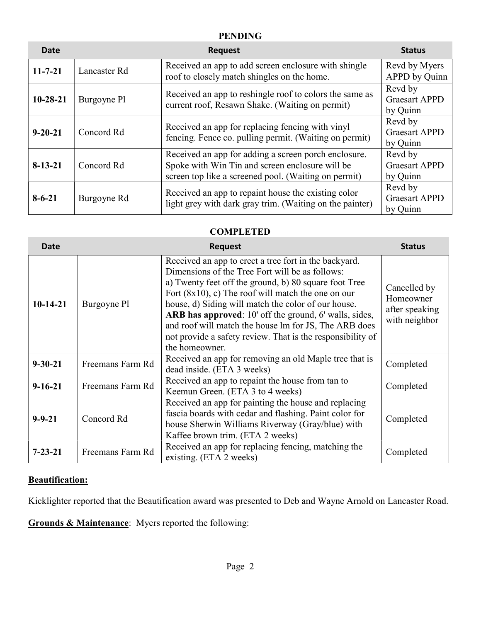### PENDING

| Date           |              | <b>Request</b>                                                                                                                                                  | <b>Status</b>                               |
|----------------|--------------|-----------------------------------------------------------------------------------------------------------------------------------------------------------------|---------------------------------------------|
| $11 - 7 - 21$  | Lancaster Rd | Received an app to add screen enclosure with shingle<br>roof to closely match shingles on the home.                                                             | Revd by Myers<br>APPD by Quinn              |
| $10 - 28 - 21$ | Burgoyne Pl  | Received an app to reshingle roof to colors the same as<br>current roof, Resawn Shake. (Waiting on permit)                                                      | Revd by<br><b>Graesart APPD</b><br>by Quinn |
| $9 - 20 - 21$  | Concord Rd   | Received an app for replacing fencing with vinyl<br>fencing. Fence co. pulling permit. (Waiting on permit)                                                      | Revd by<br><b>Graesart APPD</b><br>by Quinn |
| $8 - 13 - 21$  | Concord Rd   | Received an app for adding a screen porch enclosure.<br>Spoke with Win Tin and screen enclosure will be<br>screen top like a screened pool. (Waiting on permit) | Revd by<br><b>Graesart APPD</b><br>by Quinn |
| $8 - 6 - 21$   | Burgoyne Rd  | Received an app to repaint house the existing color<br>light grey with dark gray trim. (Waiting on the painter)                                                 | Revd by<br><b>Graesart APPD</b><br>by Quinn |

# **COMPLETED**

| Date          |                  | <b>Request</b>                                                                                                                                                                                                                                                                                                                                                                                                                                                                              | <b>Status</b>                                                |
|---------------|------------------|---------------------------------------------------------------------------------------------------------------------------------------------------------------------------------------------------------------------------------------------------------------------------------------------------------------------------------------------------------------------------------------------------------------------------------------------------------------------------------------------|--------------------------------------------------------------|
| $10-14-21$    | Burgoyne Pl      | Received an app to erect a tree fort in the backyard.<br>Dimensions of the Tree Fort will be as follows:<br>a) Twenty feet off the ground, b) 80 square foot Tree<br>Fort $(8x10)$ , c) The roof will match the one on our<br>house, d) Siding will match the color of our house.<br><b>ARB</b> has approved: 10' off the ground, 6' walls, sides,<br>and roof will match the house lm for JS, The ARB does<br>not provide a safety review. That is the responsibility of<br>the homeowner. | Cancelled by<br>Homeowner<br>after speaking<br>with neighbor |
| $9 - 30 - 21$ | Freemans Farm Rd | Received an app for removing an old Maple tree that is<br>dead inside. (ETA 3 weeks)                                                                                                                                                                                                                                                                                                                                                                                                        | Completed                                                    |
| $9 - 16 - 21$ | Freemans Farm Rd | Received an app to repaint the house from tan to<br>Keemun Green. (ETA 3 to 4 weeks)                                                                                                                                                                                                                                                                                                                                                                                                        | Completed                                                    |
| $9 - 9 - 21$  | Concord Rd       | Received an app for painting the house and replacing<br>fascia boards with cedar and flashing. Paint color for<br>house Sherwin Williams Riverway (Gray/blue) with<br>Kaffee brown trim. (ETA 2 weeks)                                                                                                                                                                                                                                                                                      | Completed                                                    |
| $7 - 23 - 21$ | Freemans Farm Rd | Received an app for replacing fencing, matching the<br>existing. (ETA 2 weeks)                                                                                                                                                                                                                                                                                                                                                                                                              | Completed                                                    |

#### Beautification:

Kicklighter reported that the Beautification award was presented to Deb and Wayne Arnold on Lancaster Road.

Grounds & Maintenance: Myers reported the following: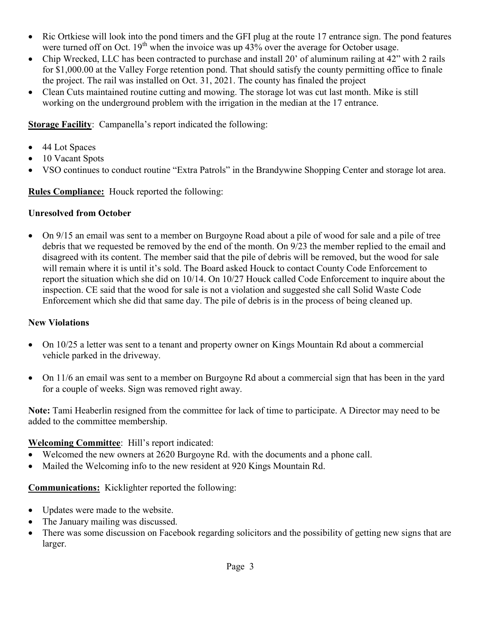- Ric Ortkiese will look into the pond timers and the GFI plug at the route 17 entrance sign. The pond features were turned off on Oct.  $19<sup>th</sup>$  when the invoice was up  $43%$  over the average for October usage.
- Chip Wrecked, LLC has been contracted to purchase and install 20' of aluminum railing at 42" with 2 rails for \$1,000.00 at the Valley Forge retention pond. That should satisfy the county permitting office to finale the project. The rail was installed on Oct. 31, 2021. The county has finaled the project
- Clean Cuts maintained routine cutting and mowing. The storage lot was cut last month. Mike is still working on the underground problem with the irrigation in the median at the 17 entrance.

Storage Facility: Campanella's report indicated the following:

- 44 Lot Spaces
- 10 Vacant Spots
- VSO continues to conduct routine "Extra Patrols" in the Brandywine Shopping Center and storage lot area.

### Rules Compliance: Houck reported the following:

### Unresolved from October

 On 9/15 an email was sent to a member on Burgoyne Road about a pile of wood for sale and a pile of tree debris that we requested be removed by the end of the month. On 9/23 the member replied to the email and disagreed with its content. The member said that the pile of debris will be removed, but the wood for sale will remain where it is until it's sold. The Board asked Houck to contact County Code Enforcement to report the situation which she did on 10/14. On 10/27 Houck called Code Enforcement to inquire about the inspection. CE said that the wood for sale is not a violation and suggested she call Solid Waste Code Enforcement which she did that same day. The pile of debris is in the process of being cleaned up.

### New Violations

- On 10/25 a letter was sent to a tenant and property owner on Kings Mountain Rd about a commercial vehicle parked in the driveway.
- On 11/6 an email was sent to a member on Burgoyne Rd about a commercial sign that has been in the yard for a couple of weeks. Sign was removed right away.

Note: Tami Heaberlin resigned from the committee for lack of time to participate. A Director may need to be added to the committee membership.

### Welcoming Committee: Hill's report indicated:

- Welcomed the new owners at 2620 Burgoyne Rd. with the documents and a phone call.
- Mailed the Welcoming info to the new resident at 920 Kings Mountain Rd.

### Communications: Kicklighter reported the following:

- Updates were made to the website.
- The January mailing was discussed.
- There was some discussion on Facebook regarding solicitors and the possibility of getting new signs that are larger.